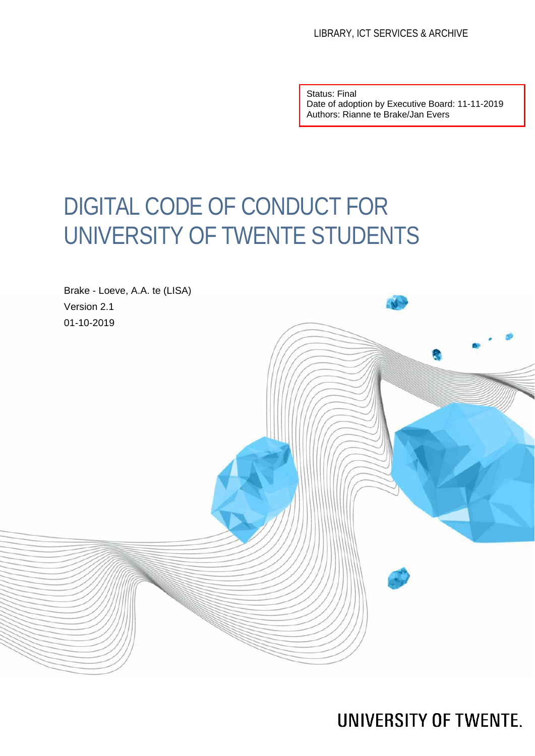Status: Final Date of adoption by Executive Board: 11-11-2019 Authors: Rianne te Brake/Jan Evers

# DIGITAL CODE OF CONDUCT FOR UNIVERSITY OF TWENTE STUDENTS



**UNIVERSITY OF TWENTE.**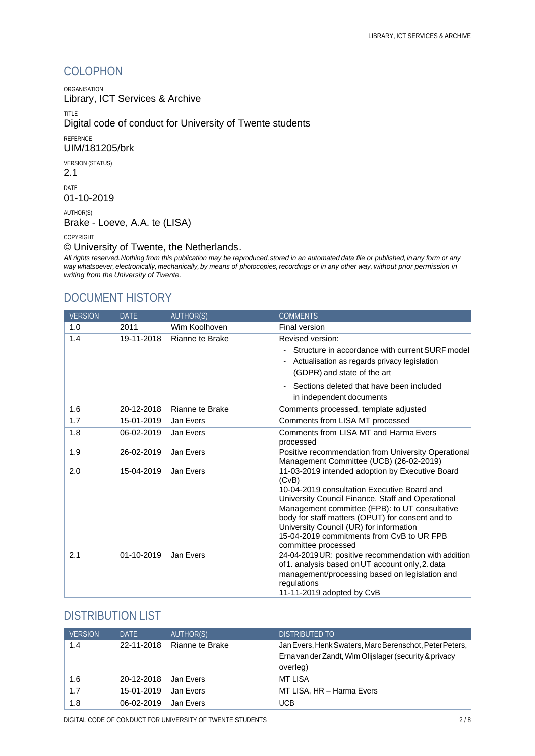### COLOPHON

ORGANISATION

Library, ICT Services & Archive

TITLE

Digital code of conduct for University of Twente students

REFERNCE

UIM/181205/brk

VERSION (STATUS)

2.1

DATE 01-10-2019

AUTHOR(S) Brake - Loeve, A.A. te (LISA)

COPYRIGHT

© University of Twente, the Netherlands.

*All rights reserved.Nothing from this publication may be reproduced,stored in an automated data file or published, in any form or any way whatsoever, electronically, mechanically, by means of photocopies,recordings or in any other way, without prior permission in writing from the University of Twente.*

#### DOCUMENT HISTORY

| <b>VERSION</b> | <b>DATE</b> | <b>AUTHOR(S)</b> | <b>COMMENTS</b>                                                                                                                                                                                                                                                                                                                                                   |
|----------------|-------------|------------------|-------------------------------------------------------------------------------------------------------------------------------------------------------------------------------------------------------------------------------------------------------------------------------------------------------------------------------------------------------------------|
| 1.0            | 2011        | Wim Koolhoven    | Final version                                                                                                                                                                                                                                                                                                                                                     |
| 1.4            | 19-11-2018  | Rianne te Brake  | Revised version:                                                                                                                                                                                                                                                                                                                                                  |
|                |             |                  | Structure in accordance with current SURF model<br>-                                                                                                                                                                                                                                                                                                              |
|                |             |                  | Actualisation as regards privacy legislation<br>$\overline{\phantom{a}}$                                                                                                                                                                                                                                                                                          |
|                |             |                  | (GDPR) and state of the art                                                                                                                                                                                                                                                                                                                                       |
|                |             |                  | Sections deleted that have been included                                                                                                                                                                                                                                                                                                                          |
|                |             |                  | in independent documents                                                                                                                                                                                                                                                                                                                                          |
| 1.6            | 20-12-2018  | Rianne te Brake  | Comments processed, template adjusted                                                                                                                                                                                                                                                                                                                             |
| 1.7            | 15-01-2019  | Jan Evers        | Comments from LISA MT processed                                                                                                                                                                                                                                                                                                                                   |
| 1.8            | 06-02-2019  | Jan Evers        | Comments from LISA MT and Harma Evers                                                                                                                                                                                                                                                                                                                             |
|                |             |                  | processed                                                                                                                                                                                                                                                                                                                                                         |
| 1.9            | 26-02-2019  | Jan Evers        | Positive recommendation from University Operational<br>Management Committee (UCB) (26-02-2019)                                                                                                                                                                                                                                                                    |
| 2.0            | 15-04-2019  | Jan Evers        | 11-03-2019 intended adoption by Executive Board                                                                                                                                                                                                                                                                                                                   |
|                |             |                  |                                                                                                                                                                                                                                                                                                                                                                   |
|                |             |                  |                                                                                                                                                                                                                                                                                                                                                                   |
|                |             |                  |                                                                                                                                                                                                                                                                                                                                                                   |
|                |             |                  |                                                                                                                                                                                                                                                                                                                                                                   |
|                |             |                  | University Council (UR) for information                                                                                                                                                                                                                                                                                                                           |
|                |             |                  | 15-04-2019 commitments from CvB to UR FPB                                                                                                                                                                                                                                                                                                                         |
|                |             |                  | committee processed                                                                                                                                                                                                                                                                                                                                               |
|                |             |                  | 24-04-2019 UR: positive recommendation with addition                                                                                                                                                                                                                                                                                                              |
|                |             |                  |                                                                                                                                                                                                                                                                                                                                                                   |
|                |             |                  |                                                                                                                                                                                                                                                                                                                                                                   |
|                |             |                  |                                                                                                                                                                                                                                                                                                                                                                   |
| 2.1            | 01-10-2019  | Jan Evers        | (CvB)<br>10-04-2019 consultation Executive Board and<br>University Council Finance, Staff and Operational<br>Management committee (FPB): to UT consultative<br>body for staff matters (OPUT) for consent and to<br>of 1. analysis based on UT account only, 2. data<br>management/processing based on legislation and<br>regulations<br>11-11-2019 adopted by CvB |

#### DISTRIBUTION LIST

| <b>VERSION</b> | DATE       | AUTHOR(S)       | DISTRIBUTED TO                                          |
|----------------|------------|-----------------|---------------------------------------------------------|
| 1.4            | 22-11-2018 | Rianne te Brake | Jan Evers, Henk Swaters, Marc Berenschot, Peter Peters, |
|                |            |                 | Erna van der Zandt, Wim Olijslager (security & privacy  |
|                |            |                 | overleg)                                                |
| 1.6            | 20-12-2018 | Jan Evers       | MT LISA                                                 |
| 1.7            | 15-01-2019 | Jan Evers       | MT LISA, HR - Harma Evers                               |
| 1.8            | 06-02-2019 | Jan Evers       | <b>UCB</b>                                              |

DIGITAL CODE OF CONDUCT FOR UNIVERSITY OF TWENTE STUDENTS 2 / 8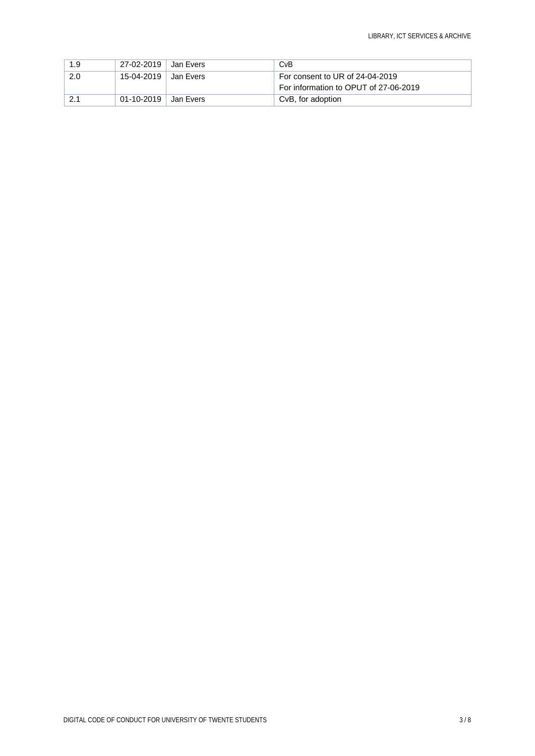| 1.9 | 27-02-2019 | ⊟Jan Evers | CvB                                   |
|-----|------------|------------|---------------------------------------|
| 2.0 | 15-04-2019 | ⊟Jan Evers | For consent to UR of 24-04-2019       |
|     |            |            | For information to OPUT of 27-06-2019 |
|     | 01-10-2019 | Jan Evers  | CvB, for adoption                     |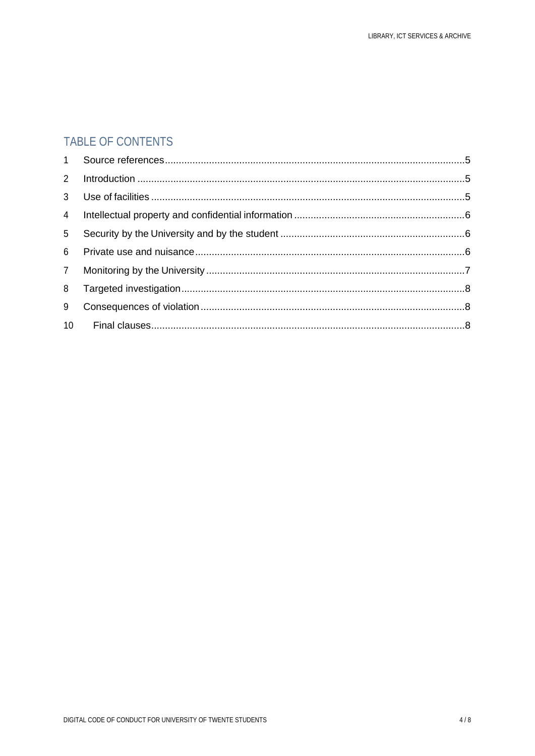### TABLE OF CONTENTS

| $2^{\circ}$     |  |
|-----------------|--|
| 3 <sup>7</sup>  |  |
| $\overline{4}$  |  |
| 5 <sup>5</sup>  |  |
| 6               |  |
| $7\overline{ }$ |  |
| 8               |  |
| 9               |  |
| 10              |  |
|                 |  |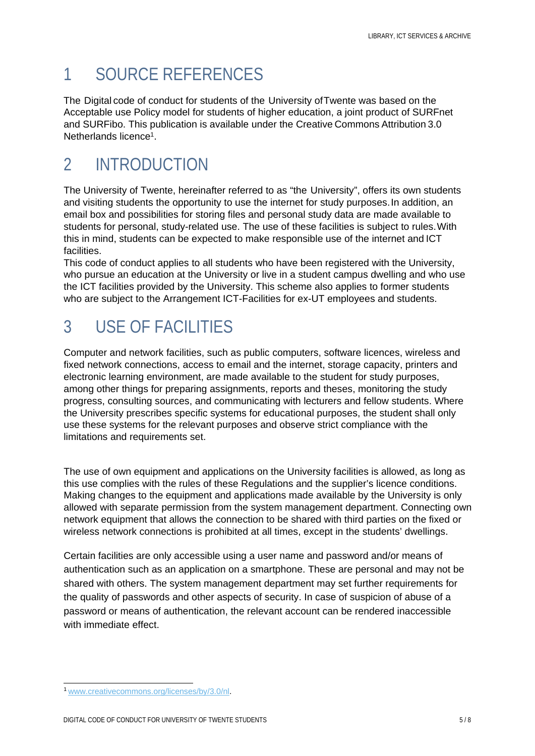## <span id="page-4-0"></span>1 SOURCE REFERENCES

The Digital code of conduct for students of the University ofTwente was based on the Acceptable use Policy model for students of higher education, a joint product of SURFnet and SURFibo. This publication is available under the Creative Commons Attribution 3.0 Netherlands licence<sup>1</sup>.

### <span id="page-4-1"></span>2 INTRODUCTION

The University of Twente, hereinafter referred to as "the University", offers its own students and visiting students the opportunity to use the internet for study purposes.In addition, an email box and possibilities for storing files and personal study data are made available to students for personal, study-related use. The use of these facilities is subject to rules.With this in mind, students can be expected to make responsible use of the internet and ICT facilities.

This code of conduct applies to all students who have been registered with the University, who pursue an education at the University or live in a student campus dwelling and who use the ICT facilities provided by the University. This scheme also applies to former students who are subject to the Arrangement ICT-Facilities for ex-UT employees and students.

### <span id="page-4-2"></span>3 USE OF FACILITIES

Computer and network facilities, such as public computers, software licences, wireless and fixed network connections, access to email and the internet, storage capacity, printers and electronic learning environment, are made available to the student for study purposes, among other things for preparing assignments, reports and theses, monitoring the study progress, consulting sources, and communicating with lecturers and fellow students. Where the University prescribes specific systems for educational purposes, the student shall only use these systems for the relevant purposes and observe strict compliance with the limitations and requirements set.

The use of own equipment and applications on the University facilities is allowed, as long as this use complies with the rules of these Regulations and the supplier's licence conditions. Making changes to the equipment and applications made available by the University is only allowed with separate permission from the system management department. Connecting own network equipment that allows the connection to be shared with third parties on the fixed or wireless network connections is prohibited at all times, except in the students' dwellings.

Certain facilities are only accessible using a user name and password and/or means of authentication such as an application on a smartphone. These are personal and may not be shared with others. The system management department may set further requirements for the quality of passwords and other aspects of security. In case of suspicion of abuse of a password or means of authentication, the relevant account can be rendered inaccessible with immediate effect.

[<sup>1</sup> www.creativecommons.org/licenses/by/3.0/nl.](http://www.creativecommons.org/licenses/by/3.0/nl)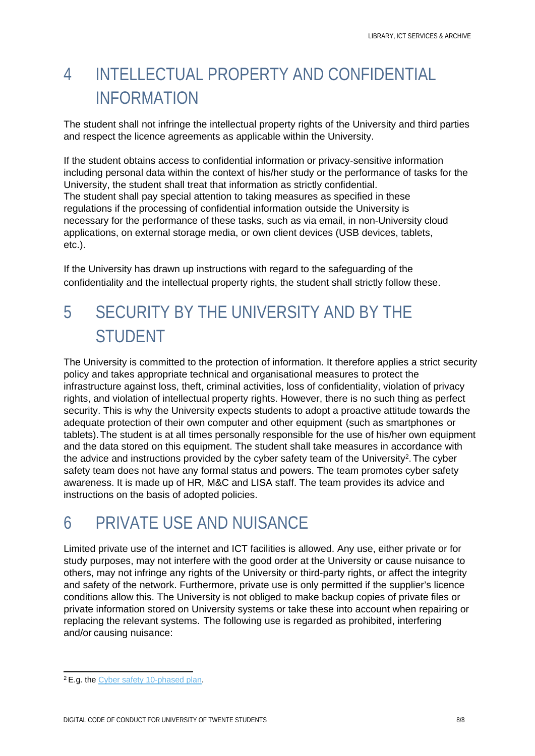## <span id="page-5-0"></span>4 INTELLECTUAL PROPERTY AND CONFIDENTIAL INFORMATION

The student shall not infringe the intellectual property rights of the University and third parties and respect the licence agreements as applicable within the University.

If the student obtains access to confidential information or privacy-sensitive information including personal data within the context of his/her study or the performance of tasks for the University, the student shall treat that information as strictly confidential. The student shall pay special attention to taking measures as specified in these regulations if the processing of confidential information outside the University is necessary for the performance of these tasks, such as via email, in non-University cloud applications, on external storage media, or own client devices (USB devices, tablets, etc.).

If the University has drawn up instructions with regard to the safeguarding of the confidentiality and the intellectual property rights, the student shall strictly follow these.

## <span id="page-5-1"></span>5 SECURITY BY THE UNIVERSITY AND BY THE STUDENT

The University is committed to the protection of information. It therefore applies a strict security policy and takes appropriate technical and organisational measures to protect the infrastructure against loss, theft, criminal activities, loss of confidentiality, violation of privacy rights, and violation of intellectual property rights. However, there is no such thing as perfect security. This is why the University expects students to adopt a proactive attitude towards the adequate protection of their own computer and other equipment (such as smartphones or tablets).The student is at all times personally responsible for the use of his/her own equipment and the data stored on this equipment. The student shall take measures in accordance with the advice and instructions provided by the cyber safety team of the University<sup>2</sup>. The cyber safety team does not have any formal status and powers. The team promotes cyber safety awareness. It is made up of HR, M&C and LISA staff. The team provides its advice and instructions on the basis of adopted policies.

## <span id="page-5-2"></span>6 PRIVATE USE AND NUISANCE

Limited private use of the internet and ICT facilities is allowed. Any use, either private or for study purposes, may not interfere with the good order at the University or cause nuisance to others, may not infringe any rights of the University or third-party rights, or affect the integrity and safety of the network. Furthermore, private use is only permitted if the supplier's licence conditions allow this. The University is not obliged to make backup copies of private files or private information stored on University systems or take these into account when repairing or replacing the relevant systems. The following use is regarded as prohibited, interfering and/or causing nuisance:

<span id="page-5-3"></span><sup>2</sup> E.g. the Cyber [safety 10-phased plan.](https://www.utwente.nl/nl/cyber-safety/beschermen/stappenplan/)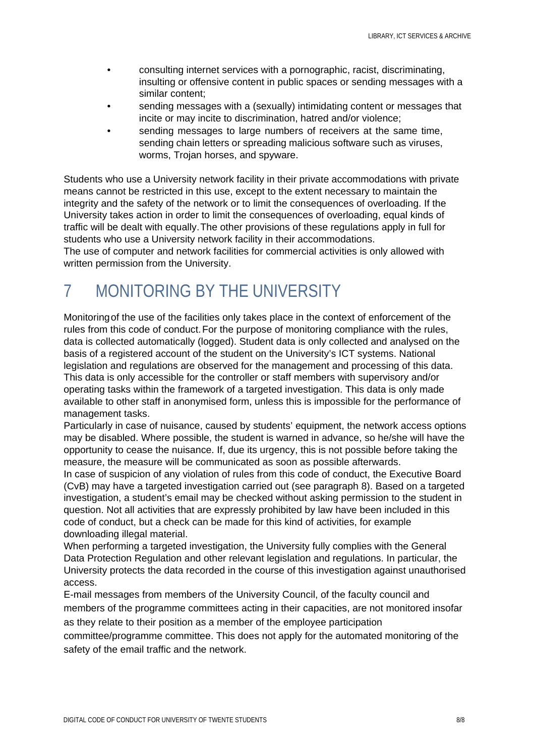- consulting internet services with a pornographic, racist, discriminating, insulting or offensive content in public spaces or sending messages with a similar content;
- sending messages with a (sexually) intimidating content or messages that incite or may incite to discrimination, hatred and/or violence;
- sending messages to large numbers of receivers at the same time, sending chain letters or spreading malicious software such as viruses, worms, Trojan horses, and spyware.

Students who use a University network facility in their private accommodations with private means cannot be restricted in this use, except to the extent necessary to maintain the integrity and the safety of the network or to limit the consequences of overloading. If the University takes action in order to limit the consequences of overloading, equal kinds of traffic will be dealt with equally.The other provisions of these regulations apply in full for students who use a University network facility in their accommodations.

<span id="page-6-0"></span>The use of computer and network facilities for commercial activities is only allowed with written permission from the University.

## 7 MONITORING BY THE UNIVERSITY

Monitoringof the use of the facilities only takes place in the context of enforcement of the rules from this code of conduct. For the purpose of monitoring compliance with the rules, data is collected automatically (logged). Student data is only collected and analysed on the basis of a registered account of the student on the University's ICT systems. National legislation and regulations are observed for the management and processing of this data. This data is only accessible for the controller or staff members with supervisory and/or operating tasks within the framework of a targeted investigation. This data is only made available to other staff in anonymised form, unless this is impossible for the performance of management tasks.

Particularly in case of nuisance, caused by students' equipment, the network access options may be disabled. Where possible, the student is warned in advance, so he/she will have the opportunity to cease the nuisance. If, due its urgency, this is not possible before taking the measure, the measure will be communicated as soon as possible afterwards.

In case of suspicion of any violation of rules from this code of conduct, the Executive Board (CvB) may have a targeted investigation carried out (see paragraph 8). Based on a targeted investigation, a student's email may be checked without asking permission to the student in question. Not all activities that are expressly prohibited by law have been included in this code of conduct, but a check can be made for this kind of activities, for example downloading illegal material.

When performing a targeted investigation, the University fully complies with the General Data Protection Regulation and other relevant legislation and regulations. In particular, the University protects the data recorded in the course of this investigation against unauthorised access.

E-mail messages from members of the University Council, of the faculty council and members of the programme committees acting in their capacities, are not monitored insofar as they relate to their position as a member of the employee participation

committee/programme committee. This does not apply for the automated monitoring of the safety of the email traffic and the network.